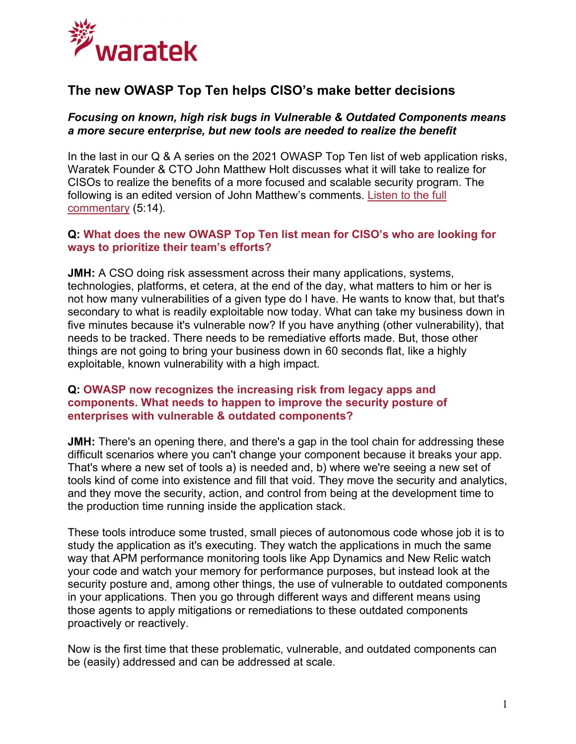

# **The new OWASP Top Ten helps CISO's make better decisions**

### *Focusing on known, high risk bugs in Vulnerable & Outdated Components means a more secure enterprise, but new tools are needed to realize the benefit*

In the last in our Q & A series on the 2021 OWASP Top Ten list of web application risks, Waratek Founder & CTO John Matthew Holt discusses what it will take to realize for CISOs to realize the benefits of a more focused and scalable security program. The following is an edited version of John Matthew's comments. [Listen to the full](https://www.waratek.com/wp-content/uploads/2021/12/20211201-OWASP-Q-A-CISO-Risk-Calculation.mp3)  [commentary](https://www.waratek.com/wp-content/uploads/2021/12/20211201-OWASP-Q-A-CISO-Risk-Calculation.mp3) (5:14).

### **Q: What does the new OWASP Top Ten list mean for CISO's who are looking for ways to prioritize their team's efforts?**

**JMH:** A CSO doing risk assessment across their many applications, systems, technologies, platforms, et cetera, at the end of the day, what matters to him or her is not how many vulnerabilities of a given type do I have. He wants to know that, but that's secondary to what is readily exploitable now today. What can take my business down in five minutes because it's vulnerable now? If you have anything (other vulnerability), that needs to be tracked. There needs to be remediative efforts made. But, those other things are not going to bring your business down in 60 seconds flat, like a highly exploitable, known vulnerability with a high impact.

#### **Q: OWASP now recognizes the increasing risk from legacy apps and components. What needs to happen to improve the security posture of enterprises with vulnerable & outdated components?**

**JMH:** There's an opening there, and there's a gap in the tool chain for addressing these difficult scenarios where you can't change your component because it breaks your app. That's where a new set of tools a) is needed and, b) where we're seeing a new set of tools kind of come into existence and fill that void. They move the security and analytics, and they move the security, action, and control from being at the development time to the production time running inside the application stack.

These tools introduce some trusted, small pieces of autonomous code whose job it is to study the application as it's executing. They watch the applications in much the same way that APM performance monitoring tools like App Dynamics and New Relic watch your code and watch your memory for performance purposes, but instead look at the security posture and, among other things, the use of vulnerable to outdated components in your applications. Then you go through different ways and different means using those agents to apply mitigations or remediations to these outdated components proactively or reactively.

Now is the first time that these problematic, vulnerable, and outdated components can be (easily) addressed and can be addressed at scale.